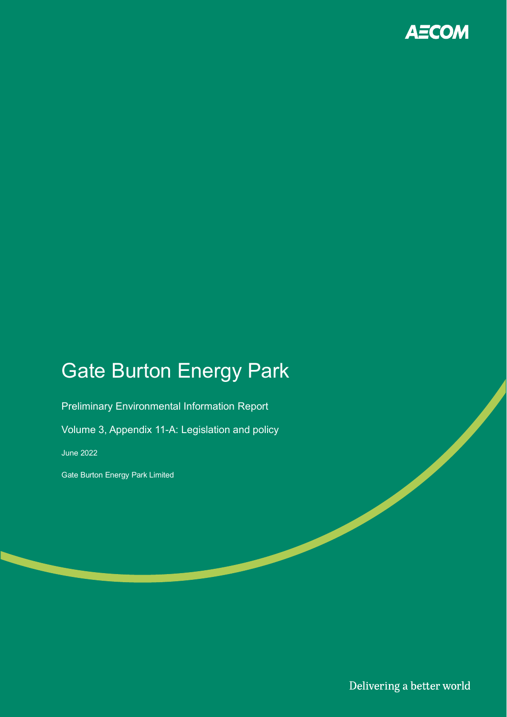

# Gate Burton Energy Park

Preliminary Environmental Information Report

Volume 3, Appendix 11-A: Legislation and policy

June 2022

Gate Burton Energy Park Limited

Delivering a better world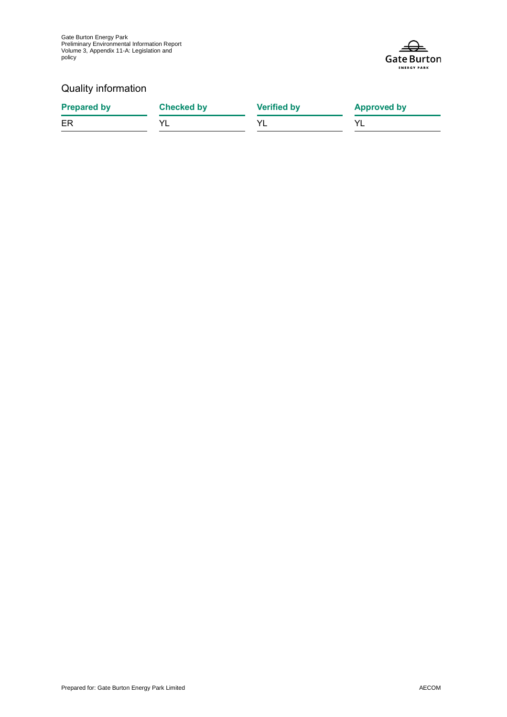Gate Burton Energy Park Preliminary Environmental Information Report Volume 3, Appendix 11-A: Legislation and policy



### Quality information

| <b>Prepared by</b> | <b>Checked by</b> | <b>Verified by</b> | <b>Approved by</b> |
|--------------------|-------------------|--------------------|--------------------|
| ER                 |                   |                    |                    |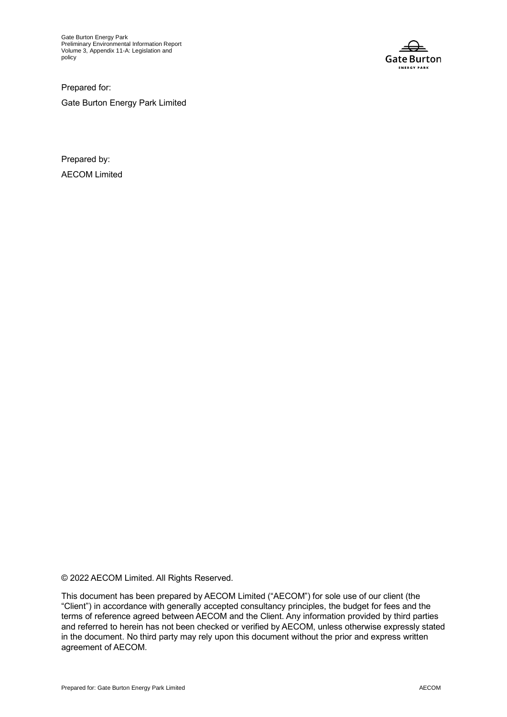Gate Burton Energy Park Preliminary Environmental Information Report Volume 3, Appendix 11-A: Legislation and policy



Prepared for: Gate Burton Energy Park Limited

Prepared by: AECOM Limited

© 2022 AECOM Limited. All Rights Reserved.

This document has been prepared by AECOM Limited ("AECOM") for sole use of our client (the "Client") in accordance with generally accepted consultancy principles, the budget for fees and the terms of reference agreed between AECOM and the Client. Any information provided by third parties and referred to herein has not been checked or verified by AECOM, unless otherwise expressly stated in the document. No third party may rely upon this document without the prior and express written agreement of AECOM.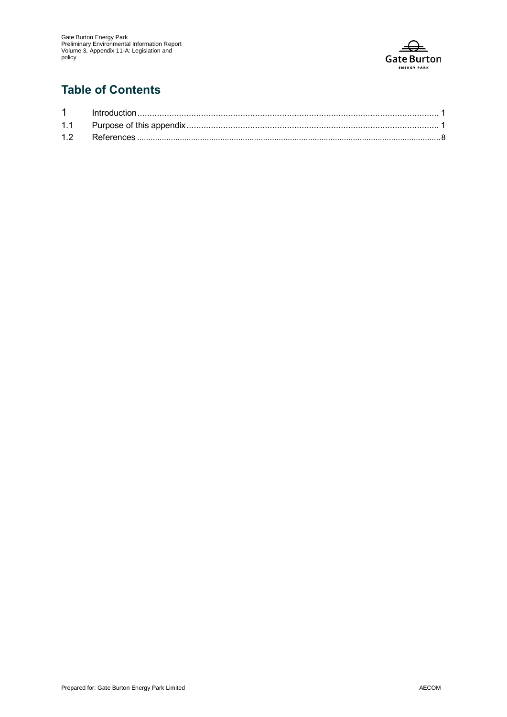

# **Table of Contents**

| 12 |  |
|----|--|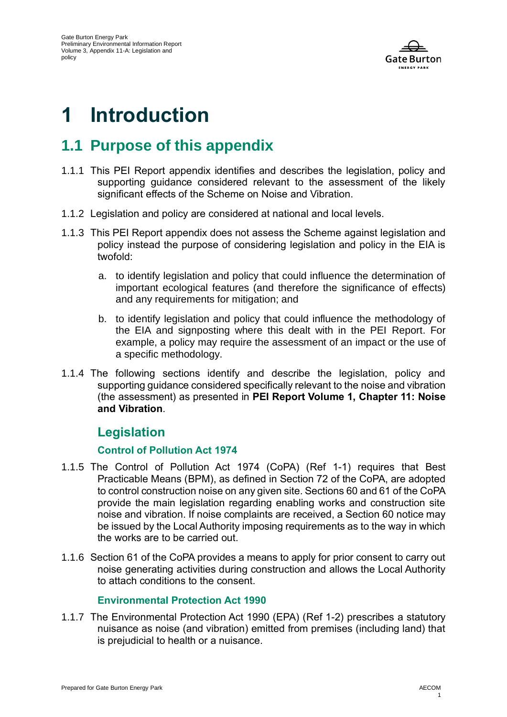

# **1 Introduction**

# **1.1 Purpose of this appendix**

- 1.1.1 This PEI Report appendix identifies and describes the legislation, policy and supporting guidance considered relevant to the assessment of the likely significant effects of the Scheme on Noise and Vibration.
- 1.1.2 Legislation and policy are considered at national and local levels.
- 1.1.3 This PEI Report appendix does not assess the Scheme against legislation and policy instead the purpose of considering legislation and policy in the EIA is twofold:
	- a. to identify legislation and policy that could influence the determination of important ecological features (and therefore the significance of effects) and any requirements for mitigation; and
	- b. to identify legislation and policy that could influence the methodology of the EIA and signposting where this dealt with in the PEI Report. For example, a policy may require the assessment of an impact or the use of a specific methodology.
- 1.1.4 The following sections identify and describe the legislation, policy and supporting guidance considered specifically relevant to the noise and vibration (the assessment) as presented in **PEI Report Volume 1, Chapter 11: Noise and Vibration**.

## **Legislation**

#### **Control of Pollution Act 1974**

- 1.1.5 The Control of Pollution Act 1974 (CoPA) [\(Ref 1-1\)](#page-11-0) requires that Best Practicable Means (BPM), as defined in Section 72 of the CoPA, are adopted to control construction noise on any given site. Sections 60 and 61 of the CoPA provide the main legislation regarding enabling works and construction site noise and vibration. If noise complaints are received, a Section 60 notice may be issued by the Local Authority imposing requirements as to the way in which the works are to be carried out.
- 1.1.6 Section 61 of the CoPA provides a means to apply for prior consent to carry out noise generating activities during construction and allows the Local Authority to attach conditions to the consent.

#### **Environmental Protection Act 1990**

1.1.7 The Environmental Protection Act 1990 (EPA) [\(Ref 1-2\)](#page-11-1) prescribes a statutory nuisance as noise (and vibration) emitted from premises (including land) that is prejudicial to health or a nuisance.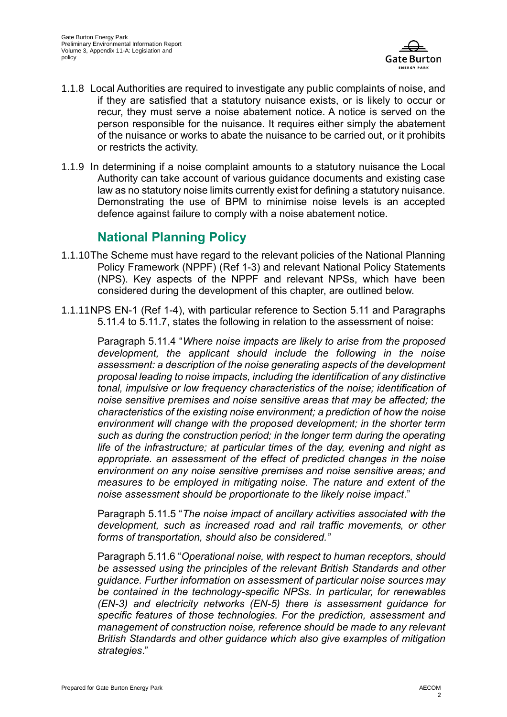

- 1.1.8 Local Authorities are required to investigate any public complaints of noise, and if they are satisfied that a statutory nuisance exists, or is likely to occur or recur, they must serve a noise abatement notice. A notice is served on the person responsible for the nuisance. It requires either simply the abatement of the nuisance or works to abate the nuisance to be carried out, or it prohibits or restricts the activity.
- 1.1.9 In determining if a noise complaint amounts to a statutory nuisance the Local Authority can take account of various guidance documents and existing case law as no statutory noise limits currently exist for defining a statutory nuisance. Demonstrating the use of BPM to minimise noise levels is an accepted defence against failure to comply with a noise abatement notice.

## **National Planning Policy**

- 1.1.10The Scheme must have regard to the relevant policies of the National Planning Policy Framework (NPPF) [\(Ref 1-3\)](#page-11-2) and relevant National Policy Statements (NPS). Key aspects of the NPPF and relevant NPSs, which have been considered during the development of this chapter, are outlined below.
- 1.1.11NPS EN-1 [\(Ref 1-4\)](#page-11-3), with particular reference to Section 5.11 and Paragraphs 5.11.4 to 5.11.7, states the following in relation to the assessment of noise:

Paragraph 5.11.4 "*Where noise impacts are likely to arise from the proposed development, the applicant should include the following in the noise assessment: a description of the noise generating aspects of the development proposal leading to noise impacts, including the identification of any distinctive tonal, impulsive or low frequency characteristics of the noise; identification of noise sensitive premises and noise sensitive areas that may be affected; the characteristics of the existing noise environment; a prediction of how the noise environment will change with the proposed development; in the shorter term such as during the construction period; in the longer term during the operating life of the infrastructure; at particular times of the day, evening and night as appropriate. an assessment of the effect of predicted changes in the noise environment on any noise sensitive premises and noise sensitive areas; and measures to be employed in mitigating noise. The nature and extent of the noise assessment should be proportionate to the likely noise impact*."

Paragraph 5.11.5 "*The noise impact of ancillary activities associated with the development, such as increased road and rail traffic movements, or other forms of transportation, should also be considered."*

Paragraph 5.11.6 "*Operational noise, with respect to human receptors, should be assessed using the principles of the relevant British Standards and other guidance. Further information on assessment of particular noise sources may be contained in the technology-specific NPSs. In particular, for renewables (EN-3) and electricity networks (EN-5) there is assessment guidance for specific features of those technologies. For the prediction, assessment and management of construction noise, reference should be made to any relevant British Standards and other guidance which also give examples of mitigation strategies*."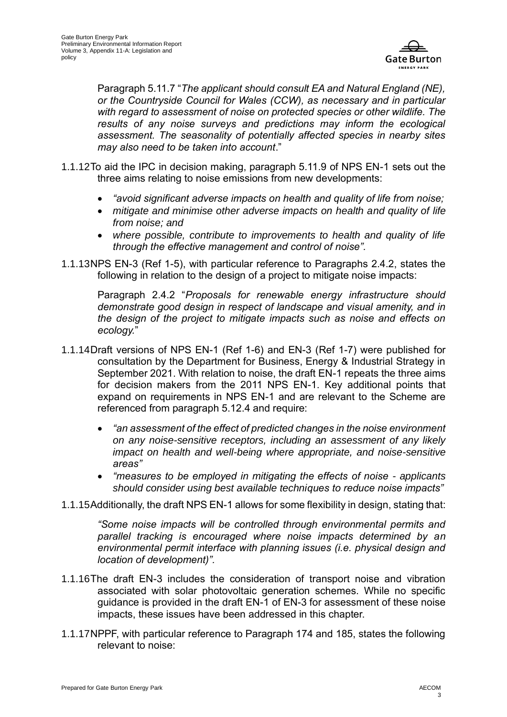

Paragraph 5.11.7 "*The applicant should consult EA and Natural England (NE), or the Countryside Council for Wales (CCW), as necessary and in particular with regard to assessment of noise on protected species or other wildlife. The results of any noise surveys and predictions may inform the ecological assessment. The seasonality of potentially affected species in nearby sites may also need to be taken into account*."

- 1.1.12To aid the IPC in decision making, paragraph 5.11.9 of NPS EN-1 sets out the three aims relating to noise emissions from new developments:
	- *"avoid significant adverse impacts on health and quality of life from noise;*
	- *mitigate and minimise other adverse impacts on health and quality of life from noise; and*
	- *where possible, contribute to improvements to health and quality of life through the effective management and control of noise".*
- 1.1.13NPS EN-3 [\(Ref 1-5\)](#page-11-4), with particular reference to Paragraphs 2.4.2, states the following in relation to the design of a project to mitigate noise impacts:

Paragraph 2.4.2 "*Proposals for renewable energy infrastructure should demonstrate good design in respect of landscape and visual amenity, and in the design of the project to mitigate impacts such as noise and effects on ecology.*"

- 1.1.14Draft versions of NPS EN-1 [\(Ref 1-6\)](#page-11-5) and EN-3 [\(Ref 1-7\)](#page-11-6) were published for consultation by the Department for Business, Energy & Industrial Strategy in September 2021. With relation to noise, the draft EN-1 repeats the three aims for decision makers from the 2011 NPS EN-1. Key additional points that expand on requirements in NPS EN-1 and are relevant to the Scheme are referenced from paragraph 5.12.4 and require:
	- *"an assessment of the effect of predicted changes in the noise environment on any noise-sensitive receptors, including an assessment of any likely impact on health and well-being where appropriate, and noise-sensitive areas"*
	- *"measures to be employed in mitigating the effects of noise - applicants should consider using best available techniques to reduce noise impacts"*
- 1.1.15Additionally, the draft NPS EN-1 allows for some flexibility in design, stating that:

*"Some noise impacts will be controlled through environmental permits and parallel tracking is encouraged where noise impacts determined by an environmental permit interface with planning issues (i.e. physical design and location of development)".*

- 1.1.16The draft EN-3 includes the consideration of transport noise and vibration associated with solar photovoltaic generation schemes. While no specific guidance is provided in the draft EN-1 of EN-3 for assessment of these noise impacts, these issues have been addressed in this chapter.
- 1.1.17NPPF, with particular reference to Paragraph 174 and 185, states the following relevant to noise: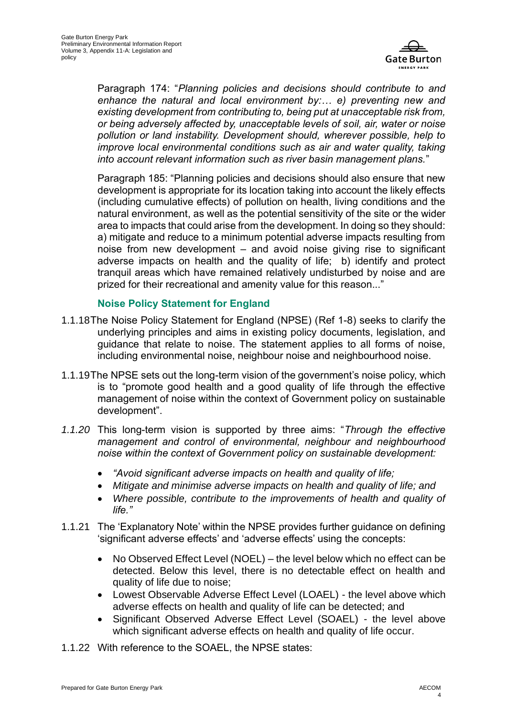

Paragraph 174: "*Planning policies and decisions should contribute to and enhance the natural and local environment by:… e) preventing new and existing development from contributing to, being put at unacceptable risk from, or being adversely affected by, unacceptable levels of soil, air, water or noise pollution or land instability. Development should, wherever possible, help to improve local environmental conditions such as air and water quality, taking into account relevant information such as river basin management plans.*"

Paragraph 185: "Planning policies and decisions should also ensure that new development is appropriate for its location taking into account the likely effects (including cumulative effects) of pollution on health, living conditions and the natural environment, as well as the potential sensitivity of the site or the wider area to impacts that could arise from the development. In doing so they should: a) mitigate and reduce to a minimum potential adverse impacts resulting from noise from new development – and avoid noise giving rise to significant adverse impacts on health and the quality of life; b) identify and protect tranquil areas which have remained relatively undisturbed by noise and are prized for their recreational and amenity value for this reason..."

#### **Noise Policy Statement for England**

- 1.1.18The Noise Policy Statement for England (NPSE) [\(Ref](#page-11-7) 1-8) seeks to clarify the underlying principles and aims in existing policy documents, legislation, and guidance that relate to noise. The statement applies to all forms of noise, including environmental noise, neighbour noise and neighbourhood noise.
- 1.1.19The NPSE sets out the long-term vision of the government's noise policy, which is to "promote good health and a good quality of life through the effective management of noise within the context of Government policy on sustainable development".
- *1.1.20* This long-term vision is supported by three aims: "*Through the effective management and control of environmental, neighbour and neighbourhood noise within the context of Government policy on sustainable development:*
	- *"Avoid significant adverse impacts on health and quality of life;*
	- *Mitigate and minimise adverse impacts on health and quality of life; and*
	- *Where possible, contribute to the improvements of health and quality of life."*
- 1.1.21 The 'Explanatory Note' within the NPSE provides further guidance on defining 'significant adverse effects' and 'adverse effects' using the concepts:
	- No Observed Effect Level (NOEL) the level below which no effect can be detected. Below this level, there is no detectable effect on health and quality of life due to noise;
	- Lowest Observable Adverse Effect Level (LOAEL) the level above which adverse effects on health and quality of life can be detected; and
	- Significant Observed Adverse Effect Level (SOAEL) the level above which significant adverse effects on health and quality of life occur.
- 1.1.22 With reference to the SOAEL, the NPSE states: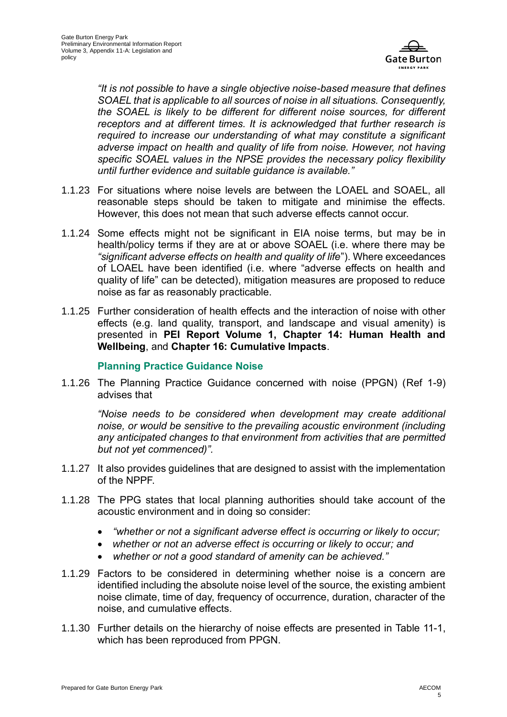

*"It is not possible to have a single objective noise-based measure that defines SOAEL that is applicable to all sources of noise in all situations. Consequently, the SOAEL is likely to be different for different noise sources, for different receptors and at different times. It is acknowledged that further research is required to increase our understanding of what may constitute a significant adverse impact on health and quality of life from noise. However, not having specific SOAEL values in the NPSE provides the necessary policy flexibility until further evidence and suitable guidance is available."* 

- 1.1.23 For situations where noise levels are between the LOAEL and SOAEL, all reasonable steps should be taken to mitigate and minimise the effects. However, this does not mean that such adverse effects cannot occur.
- 1.1.24 Some effects might not be significant in EIA noise terms, but may be in health/policy terms if they are at or above SOAEL (i.e. where there may be *"significant adverse effects on health and quality of life*"). Where exceedances of LOAEL have been identified (i.e. where "adverse effects on health and quality of life" can be detected), mitigation measures are proposed to reduce noise as far as reasonably practicable.
- 1.1.25 Further consideration of health effects and the interaction of noise with other effects (e.g. land quality, transport, and landscape and visual amenity) is presented in **PEI Report Volume 1, Chapter 14: Human Health and Wellbeing**, and **Chapter 16: Cumulative Impacts**.

#### **Planning Practice Guidance Noise**

1.1.26 The Planning Practice Guidance concerned with noise (PPGN) [\(Ref 1-9\)](#page-11-8) advises that

*"Noise needs to be considered when development may create additional noise, or would be sensitive to the prevailing acoustic environment (including any anticipated changes to that environment from activities that are permitted but not yet commenced)".* 

- 1.1.27 It also provides guidelines that are designed to assist with the implementation of the NPPF.
- 1.1.28 The PPG states that local planning authorities should take account of the acoustic environment and in doing so consider:
	- *"whether or not a significant adverse effect is occurring or likely to occur;*
	- *whether or not an adverse effect is occurring or likely to occur; and*
	- *whether or not a good standard of amenity can be achieved."*
- 1.1.29 Factors to be considered in determining whether noise is a concern are identified including the absolute noise level of the source, the existing ambient noise climate, time of day, frequency of occurrence, duration, character of the noise, and cumulative effects.
- 1.1.30 Further details on the hierarchy of noise effects are presented in [Table 11-1,](#page-9-0) which has been reproduced from PPGN.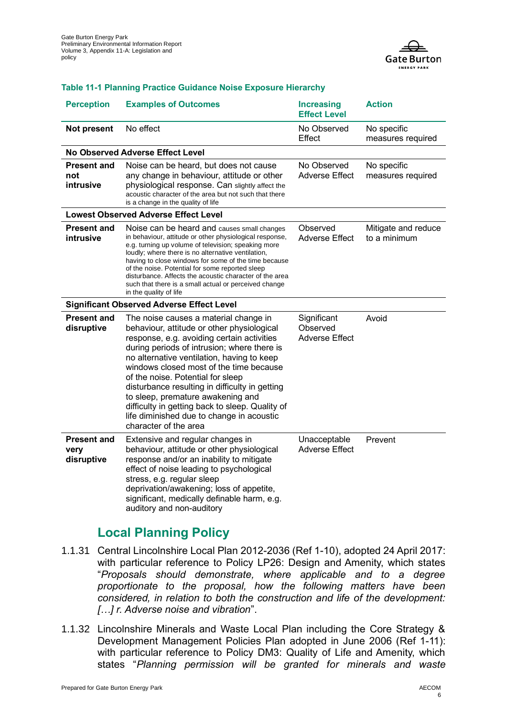

#### <span id="page-9-0"></span>**Table 11-1 Planning Practice Guidance Noise Exposure Hierarchy**

| <b>Perception</b>                           | <b>Examples of Outcomes</b>                                                                                                                                                                                                                                                                                                                                                                                                                                                                                                    | <b>Increasing</b><br><b>Effect Level</b>  | <b>Action</b>                       |  |  |  |
|---------------------------------------------|--------------------------------------------------------------------------------------------------------------------------------------------------------------------------------------------------------------------------------------------------------------------------------------------------------------------------------------------------------------------------------------------------------------------------------------------------------------------------------------------------------------------------------|-------------------------------------------|-------------------------------------|--|--|--|
| <b>Not present</b>                          | No effect                                                                                                                                                                                                                                                                                                                                                                                                                                                                                                                      | No Observed<br>Effect                     | No specific<br>measures required    |  |  |  |
| No Observed Adverse Effect Level            |                                                                                                                                                                                                                                                                                                                                                                                                                                                                                                                                |                                           |                                     |  |  |  |
| <b>Present and</b><br>not<br>intrusive      | Noise can be heard, but does not cause<br>any change in behaviour, attitude or other<br>physiological response. Can slightly affect the<br>acoustic character of the area but not such that there<br>is a change in the quality of life                                                                                                                                                                                                                                                                                        | No Observed<br><b>Adverse Effect</b>      | No specific<br>measures required    |  |  |  |
| <b>Lowest Observed Adverse Effect Level</b> |                                                                                                                                                                                                                                                                                                                                                                                                                                                                                                                                |                                           |                                     |  |  |  |
| <b>Present and</b><br>intrusive             | Noise can be heard and causes small changes<br>in behaviour, attitude or other physiological response,<br>e.g. turning up volume of television; speaking more<br>loudly; where there is no alternative ventilation,<br>having to close windows for some of the time because<br>of the noise. Potential for some reported sleep<br>disturbance. Affects the acoustic character of the area<br>such that there is a small actual or perceived change<br>in the quality of life                                                   | Observed<br>Adverse Effect                | Mitigate and reduce<br>to a minimum |  |  |  |
|                                             | <b>Significant Observed Adverse Effect Level</b>                                                                                                                                                                                                                                                                                                                                                                                                                                                                               |                                           |                                     |  |  |  |
| <b>Present and</b><br>disruptive            | The noise causes a material change in<br>behaviour, attitude or other physiological<br>response, e.g. avoiding certain activities<br>during periods of intrusion; where there is<br>no alternative ventilation, having to keep<br>windows closed most of the time because<br>of the noise. Potential for sleep<br>disturbance resulting in difficulty in getting<br>to sleep, premature awakening and<br>difficulty in getting back to sleep. Quality of<br>life diminished due to change in acoustic<br>character of the area | Significant<br>Observed<br>Adverse Effect | Avoid                               |  |  |  |
| <b>Present and</b><br>very<br>disruptive    | Extensive and regular changes in<br>behaviour, attitude or other physiological<br>response and/or an inability to mitigate<br>effect of noise leading to psychological<br>stress, e.g. regular sleep<br>deprivation/awakening; loss of appetite,<br>significant, medically definable harm, e.g.<br>auditory and non-auditory                                                                                                                                                                                                   | Unacceptable<br><b>Adverse Effect</b>     | Prevent                             |  |  |  |

### **Local Planning Policy**

- 1.1.31 Central Lincolnshire Local Plan 2012-2036 [\(Ref 1-10\)](#page-11-9), adopted 24 April 2017: with particular reference to Policy LP26: Design and Amenity, which states "*Proposals should demonstrate, where applicable and to a degree proportionate to the proposal, how the following matters have been considered, in relation to both the construction and life of the development: […] r. Adverse noise and vibration*".
- 1.1.32 Lincolnshire Minerals and Waste Local Plan including the Core Strategy & Development Management Policies Plan adopted in June 2006 [\(Ref 1-11\)](#page-11-10): with particular reference to Policy DM3: Quality of Life and Amenity, which states "*Planning permission will be granted for minerals and waste*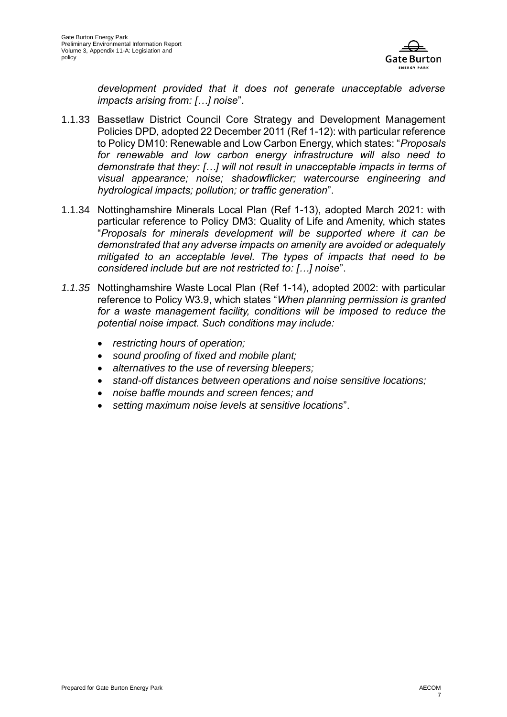

*development provided that it does not generate unacceptable adverse impacts arising from: […] noise*".

- 1.1.33 Bassetlaw District Council Core Strategy and Development Management Policies DPD, adopted 22 December 2011 [\(Ref 1-12\)](#page-11-11): with particular reference to Policy DM10: Renewable and Low Carbon Energy, which states: "*Proposals for renewable and low carbon energy infrastructure will also need to demonstrate that they: […] will not result in unacceptable impacts in terms of visual appearance; noise; shadowflicker; watercourse engineering and hydrological impacts; pollution; or traffic generation*".
- 1.1.34 Nottinghamshire Minerals Local Plan [\(Ref 1-13\)](#page-11-12), adopted March 2021: with particular reference to Policy DM3: Quality of Life and Amenity, which states "*Proposals for minerals development will be supported where it can be demonstrated that any adverse impacts on amenity are avoided or adequately mitigated to an acceptable level. The types of impacts that need to be considered include but are not restricted to: […] noise*".
- *1.1.35* Nottinghamshire Waste Local Plan [\(Ref 1-14\)](#page-11-13), adopted 2002: with particular reference to Policy W3.9, which states "*When planning permission is granted*  for a waste management facility, conditions will be imposed to reduce the *potential noise impact. Such conditions may include:*
	- *restricting hours of operation;*
	- *sound proofing of fixed and mobile plant;*
	- *alternatives to the use of reversing bleepers;*
	- *stand-off distances between operations and noise sensitive locations;*
	- *noise baffle mounds and screen fences; and*
	- *setting maximum noise levels at sensitive locations*".